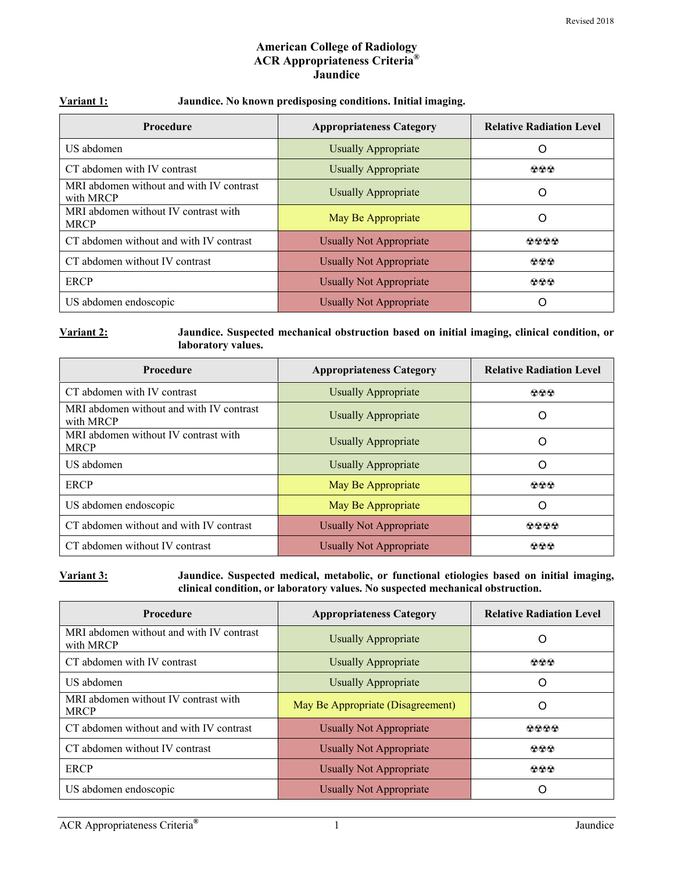#### **American College of Radiology ACR Appropriateness Criteria® Jaundice**

| Variant 1: | Jaundice. No known predisposing conditions. Initial imaging. |  |  |
|------------|--------------------------------------------------------------|--|--|
|            |                                                              |  |  |

| <b>Procedure</b>                                      | <b>Appropriateness Category</b> | <b>Relative Radiation Level</b> |
|-------------------------------------------------------|---------------------------------|---------------------------------|
| US abdomen                                            | <b>Usually Appropriate</b>      | $\left($                        |
| CT abdomen with IV contrast                           | <b>Usually Appropriate</b>      | 000                             |
| MRI abdomen without and with IV contrast<br>with MRCP | Usually Appropriate             | O                               |
| MRI abdomen without IV contrast with<br><b>MRCP</b>   | May Be Appropriate              | ∩                               |
| CT abdomen without and with IV contrast               | Usually Not Appropriate         | 0000                            |
| CT abdomen without IV contrast                        | <b>Usually Not Appropriate</b>  | 000                             |
| <b>ERCP</b>                                           | Usually Not Appropriate         | 000                             |
| US abdomen endoscopic                                 | <b>Usually Not Appropriate</b>  |                                 |

#### **Variant 2: Jaundice. Suspected mechanical obstruction based on initial imaging, clinical condition, or laboratory values.**

| <b>Procedure</b>                                      | <b>Appropriateness Category</b> | <b>Relative Radiation Level</b> |
|-------------------------------------------------------|---------------------------------|---------------------------------|
| CT abdomen with IV contrast                           | Usually Appropriate             | 000                             |
| MRI abdomen without and with IV contrast<br>with MRCP | Usually Appropriate             | O                               |
| MRI abdomen without IV contrast with<br><b>MRCP</b>   | <b>Usually Appropriate</b>      | $\Omega$                        |
| US abdomen                                            | Usually Appropriate             | O                               |
| <b>ERCP</b>                                           | May Be Appropriate              | 000                             |
| US abdomen endoscopic                                 | May Be Appropriate              | O                               |
| CT abdomen without and with IV contrast               | <b>Usually Not Appropriate</b>  | 0000                            |
| CT abdomen without IV contrast                        | <b>Usually Not Appropriate</b>  | 000                             |

**Variant 3: Jaundice. Suspected medical, metabolic, or functional etiologies based on initial imaging, clinical condition, or laboratory values. No suspected mechanical obstruction.** 

| <b>Procedure</b>                                      | <b>Appropriateness Category</b>   | <b>Relative Radiation Level</b> |
|-------------------------------------------------------|-----------------------------------|---------------------------------|
| MRI abdomen without and with IV contrast<br>with MRCP | <b>Usually Appropriate</b>        | Ő                               |
| CT abdomen with IV contrast                           | Usually Appropriate               | 000                             |
| US abdomen                                            | <b>Usually Appropriate</b>        | Ő                               |
| MRI abdomen without IV contrast with<br><b>MRCP</b>   | May Be Appropriate (Disagreement) | ( )                             |
| CT abdomen without and with IV contrast               | Usually Not Appropriate           | 0000                            |
| CT abdomen without IV contrast                        | <b>Usually Not Appropriate</b>    | 000                             |
| <b>ERCP</b>                                           | Usually Not Appropriate           | 000                             |
| US abdomen endoscopic                                 | <b>Usually Not Appropriate</b>    |                                 |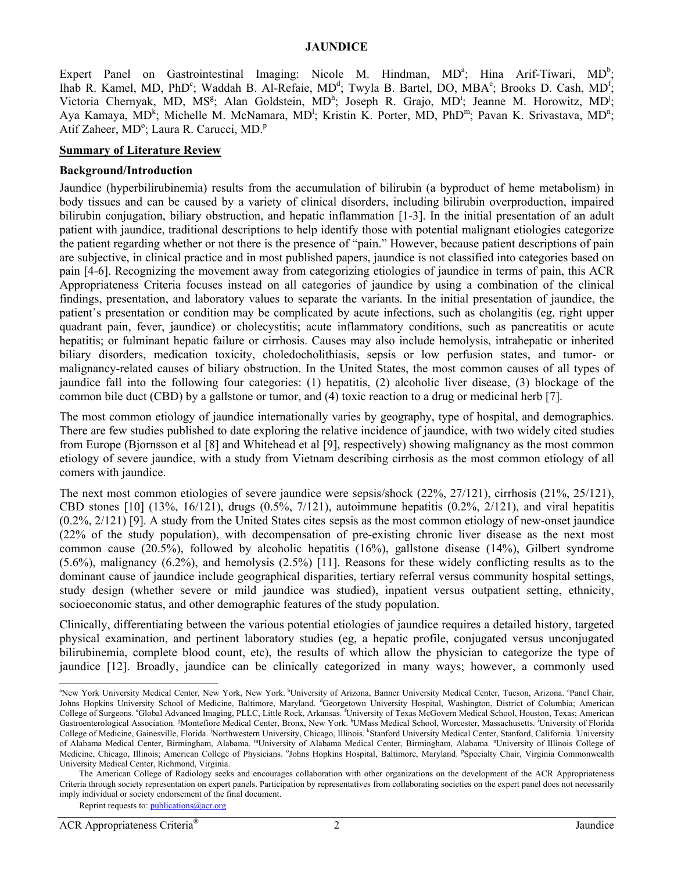#### **JAUNDICE**

Expert Panel on Gastrointestinal Imaging: Nicole M. Hindman,  $MD^a$ ; Hina Arif-Tiwari,  $MD^b$ ; Ihab R. Kamel, MD, PhD<sup>c</sup>; Waddah B. Al-Refaie, MD<sup>d</sup>; Twyla B. Bartel, DO, MBA<sup>e</sup>; Brooks D. Cash, MD<sup>f</sup>; Victoria Chernyak, MD, MS<sup>g</sup>; Alan Goldstein, MD<sup>h</sup>; Joseph R. Grajo, MD<sup>i</sup>; Jeanne M. Horowitz, MD<sup>j</sup>; Aya Kamaya, MD<sup>k</sup>; Michelle M. McNamara, MD<sup>1</sup>; Kristin K. Porter, MD, PhD<sup>m</sup>; Pavan K. Srivastava, MD<sup>n</sup>; Atif Zaheer, MD°; Laura R. Carucci, MD.<sup>p</sup>

#### **Summary of Literature Review**

#### **Background/Introduction**

Jaundice (hyperbilirubinemia) results from the accumulation of bilirubin (a byproduct of heme metabolism) in body tissues and can be caused by a variety of clinical disorders, including bilirubin overproduction, impaired bilirubin conjugation, biliary obstruction, and hepatic inflammation [1-3]. In the initial presentation of an adult patient with jaundice, traditional descriptions to help identify those with potential malignant etiologies categorize the patient regarding whether or not there is the presence of "pain." However, because patient descriptions of pain are subjective, in clinical practice and in most published papers, jaundice is not classified into categories based on pain [4-6]. Recognizing the movement away from categorizing etiologies of jaundice in terms of pain, this ACR Appropriateness Criteria focuses instead on all categories of jaundice by using a combination of the clinical findings, presentation, and laboratory values to separate the variants. In the initial presentation of jaundice, the patient's presentation or condition may be complicated by acute infections, such as cholangitis (eg, right upper quadrant pain, fever, jaundice) or cholecystitis; acute inflammatory conditions, such as pancreatitis or acute hepatitis; or fulminant hepatic failure or cirrhosis. Causes may also include hemolysis, intrahepatic or inherited biliary disorders, medication toxicity, choledocholithiasis, sepsis or low perfusion states, and tumor- or malignancy-related causes of biliary obstruction. In the United States, the most common causes of all types of jaundice fall into the following four categories: (1) hepatitis, (2) alcoholic liver disease, (3) blockage of the common bile duct (CBD) by a gallstone or tumor, and (4) toxic reaction to a drug or medicinal herb [7].

The most common etiology of jaundice internationally varies by geography, type of hospital, and demographics. There are few studies published to date exploring the relative incidence of jaundice, with two widely cited studies from Europe (Bjornsson et al [8] and Whitehead et al [9], respectively) showing malignancy as the most common etiology of severe jaundice, with a study from Vietnam describing cirrhosis as the most common etiology of all comers with jaundice.

The next most common etiologies of severe jaundice were sepsis/shock (22%, 27/121), cirrhosis (21%, 25/121), CBD stones  $[10]$   $(13\%, 16/121)$ , drugs  $(0.5\%, 7/121)$ , autoimmune hepatitis  $(0.2\%, 2/121)$ , and viral hepatitis (0.2%, 2/121) [9]. A study from the United States cites sepsis as the most common etiology of new-onset jaundice (22% of the study population), with decompensation of pre-existing chronic liver disease as the next most common cause (20.5%), followed by alcoholic hepatitis (16%), gallstone disease (14%), Gilbert syndrome (5.6%), malignancy (6.2%), and hemolysis (2.5%) [11]. Reasons for these widely conflicting results as to the dominant cause of jaundice include geographical disparities, tertiary referral versus community hospital settings, study design (whether severe or mild jaundice was studied), inpatient versus outpatient setting, ethnicity, socioeconomic status, and other demographic features of the study population.

Clinically, differentiating between the various potential etiologies of jaundice requires a detailed history, targeted physical examination, and pertinent laboratory studies (eg, a hepatic profile, conjugated versus unconjugated bilirubinemia, complete blood count, etc), the results of which allow the physician to categorize the type of jaundice [12]. Broadly, jaundice can be clinically categorized in many ways; however, a commonly used

 $\overline{a}$ 

<sup>&</sup>lt;sup>a</sup>New York University Medical Center, New York, New York. <sup>b</sup>University of Arizona, Banner University Medical Center, Tucson, Arizona. <sup>c</sup>Panel Chair, Johns Hopkins University School of Medicine, Baltimore, Maryland. <sup>d</sup>Georgetown University Hospital, Washington, District of Columbia; American College of Surgeons. "Global Advanced Imaging, PLLC, Little Rock, Arkansas. <sup>"</sup>University of Texas McGovern Medical School, Houston, Texas; American Gastroenterological Association. <sup>g</sup>Montefiore Medical Center, Bronx, New York. <sup>h</sup>UMass Medical School, Worcester, Massachusetts. <sup>i</sup>University of Florida College of Medicine, Gainesville, Florida. <sup>*i*</sup>Northwestern University, Chicago, Illinois. <sup>k</sup>Stanford University Medical Center, Stanford, California. <sup>1</sup>University of Alabama Medical Center, Birmingham, Alabama. ""University of Alabama Medical Center, Birmingham, Alabama. "University of Illinois College of Medicine, Chicago, Illinois; American College of Physicians. <sup>o</sup>Johns Hopkins Hospital, Baltimore, Maryland. <sup>p</sup>Specialty Chair, Virginia Commonwealth University Medical Center, Richmond, Virginia.

The American College of Radiology seeks and encourages collaboration with other organizations on the development of the ACR Appropriateness Criteria through society representation on expert panels. Participation by representatives from collaborating societies on the expert panel does not necessarily imply individual or society endorsement of the final document.

Reprint requests to: publications@acr.org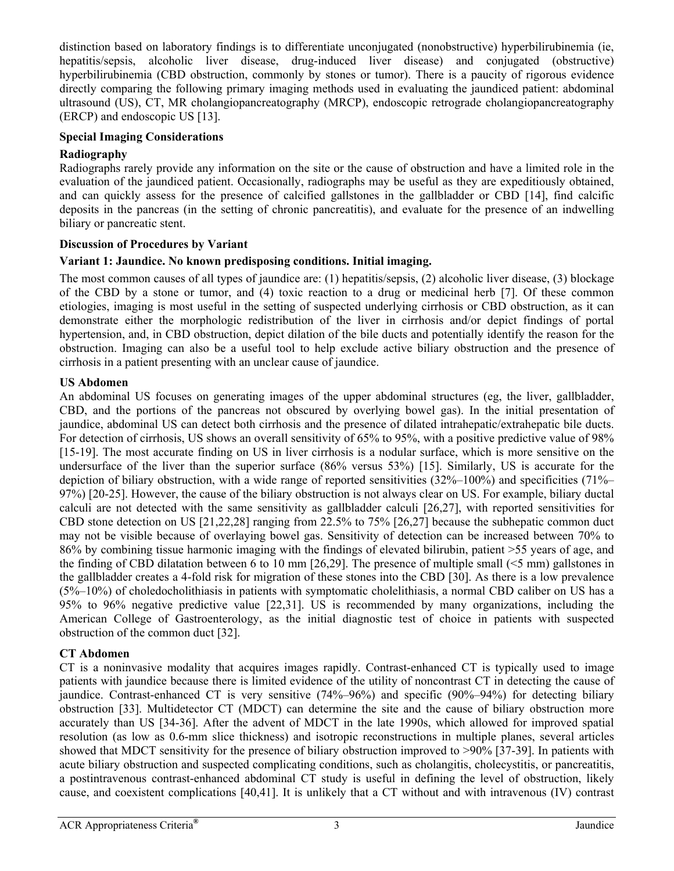distinction based on laboratory findings is to differentiate unconjugated (nonobstructive) hyperbilirubinemia (ie, hepatitis/sepsis, alcoholic liver disease, drug-induced liver disease) and conjugated (obstructive) hyperbilirubinemia (CBD obstruction, commonly by stones or tumor). There is a paucity of rigorous evidence directly comparing the following primary imaging methods used in evaluating the jaundiced patient: abdominal ultrasound (US), CT, MR cholangiopancreatography (MRCP), endoscopic retrograde cholangiopancreatography (ERCP) and endoscopic US [13].

### **Special Imaging Considerations**

# **Radiography**

Radiographs rarely provide any information on the site or the cause of obstruction and have a limited role in the evaluation of the jaundiced patient. Occasionally, radiographs may be useful as they are expeditiously obtained, and can quickly assess for the presence of calcified gallstones in the gallbladder or CBD [14], find calcific deposits in the pancreas (in the setting of chronic pancreatitis), and evaluate for the presence of an indwelling biliary or pancreatic stent.

# **Discussion of Procedures by Variant**

# **Variant 1: Jaundice. No known predisposing conditions. Initial imaging.**

The most common causes of all types of jaundice are: (1) hepatitis/sepsis, (2) alcoholic liver disease, (3) blockage of the CBD by a stone or tumor, and (4) toxic reaction to a drug or medicinal herb [7]. Of these common etiologies, imaging is most useful in the setting of suspected underlying cirrhosis or CBD obstruction, as it can demonstrate either the morphologic redistribution of the liver in cirrhosis and/or depict findings of portal hypertension, and, in CBD obstruction, depict dilation of the bile ducts and potentially identify the reason for the obstruction. Imaging can also be a useful tool to help exclude active biliary obstruction and the presence of cirrhosis in a patient presenting with an unclear cause of jaundice.

# **US Abdomen**

An abdominal US focuses on generating images of the upper abdominal structures (eg, the liver, gallbladder, CBD, and the portions of the pancreas not obscured by overlying bowel gas). In the initial presentation of jaundice, abdominal US can detect both cirrhosis and the presence of dilated intrahepatic/extrahepatic bile ducts. For detection of cirrhosis. US shows an overall sensitivity of 65% to 95%, with a positive predictive value of 98% [15-19]. The most accurate finding on US in liver cirrhosis is a nodular surface, which is more sensitive on the undersurface of the liver than the superior surface (86% versus 53%) [15]. Similarly, US is accurate for the depiction of biliary obstruction, with a wide range of reported sensitivities (32%–100%) and specificities (71%– 97%) [20-25]. However, the cause of the biliary obstruction is not always clear on US. For example, biliary ductal calculi are not detected with the same sensitivity as gallbladder calculi [26,27], with reported sensitivities for CBD stone detection on US [21,22,28] ranging from 22.5% to 75% [26,27] because the subhepatic common duct may not be visible because of overlaying bowel gas. Sensitivity of detection can be increased between 70% to 86% by combining tissue harmonic imaging with the findings of elevated bilirubin, patient >55 years of age, and the finding of CBD dilatation between 6 to 10 mm [26,29]. The presence of multiple small (<5 mm) gallstones in the gallbladder creates a 4-fold risk for migration of these stones into the CBD [30]. As there is a low prevalence (5%–10%) of choledocholithiasis in patients with symptomatic cholelithiasis, a normal CBD caliber on US has a 95% to 96% negative predictive value [22,31]. US is recommended by many organizations, including the American College of Gastroenterology, as the initial diagnostic test of choice in patients with suspected obstruction of the common duct [32].

# **CT Abdomen**

CT is a noninvasive modality that acquires images rapidly. Contrast-enhanced CT is typically used to image patients with jaundice because there is limited evidence of the utility of noncontrast CT in detecting the cause of jaundice. Contrast-enhanced CT is very sensitive (74%–96%) and specific (90%–94%) for detecting biliary obstruction [33]. Multidetector CT (MDCT) can determine the site and the cause of biliary obstruction more accurately than US [34-36]. After the advent of MDCT in the late 1990s, which allowed for improved spatial resolution (as low as 0.6-mm slice thickness) and isotropic reconstructions in multiple planes, several articles showed that MDCT sensitivity for the presence of biliary obstruction improved to >90% [37-39]. In patients with acute biliary obstruction and suspected complicating conditions, such as cholangitis, cholecystitis, or pancreatitis, a postintravenous contrast-enhanced abdominal CT study is useful in defining the level of obstruction, likely cause, and coexistent complications [40,41]. It is unlikely that a CT without and with intravenous (IV) contrast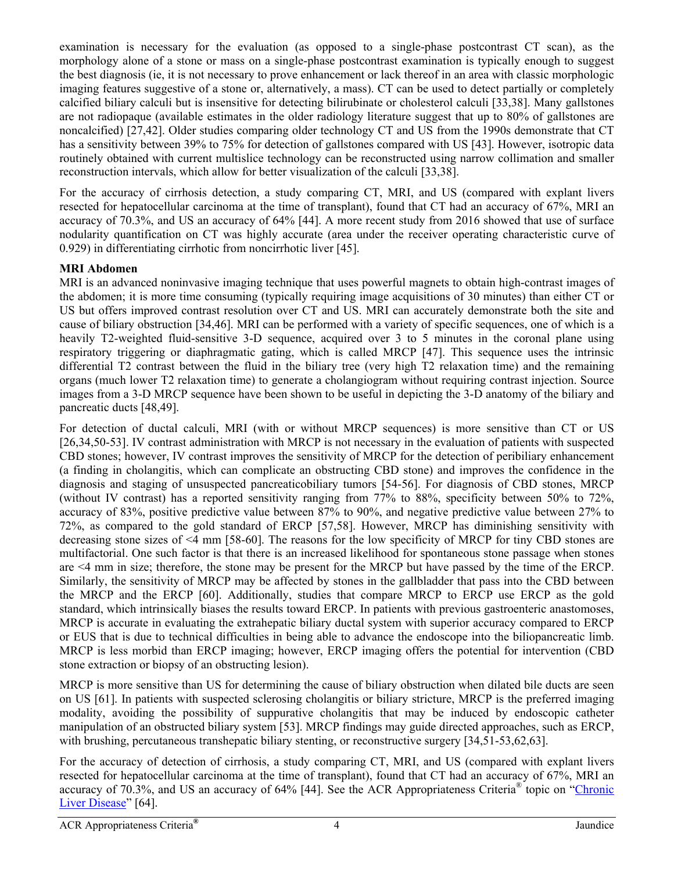examination is necessary for the evaluation (as opposed to a single-phase postcontrast CT scan), as the morphology alone of a stone or mass on a single-phase postcontrast examination is typically enough to suggest the best diagnosis (ie, it is not necessary to prove enhancement or lack thereof in an area with classic morphologic imaging features suggestive of a stone or, alternatively, a mass). CT can be used to detect partially or completely calcified biliary calculi but is insensitive for detecting bilirubinate or cholesterol calculi [33,38]. Many gallstones are not radiopaque (available estimates in the older radiology literature suggest that up to 80% of gallstones are noncalcified) [27,42]. Older studies comparing older technology CT and US from the 1990s demonstrate that CT has a sensitivity between 39% to 75% for detection of gallstones compared with US [43]. However, isotropic data routinely obtained with current multislice technology can be reconstructed using narrow collimation and smaller reconstruction intervals, which allow for better visualization of the calculi [33,38].

For the accuracy of cirrhosis detection, a study comparing CT, MRI, and US (compared with explant livers resected for hepatocellular carcinoma at the time of transplant), found that CT had an accuracy of 67%, MRI an accuracy of 70.3%, and US an accuracy of 64% [44]. A more recent study from 2016 showed that use of surface nodularity quantification on CT was highly accurate (area under the receiver operating characteristic curve of 0.929) in differentiating cirrhotic from noncirrhotic liver [45].

# **MRI Abdomen**

MRI is an advanced noninvasive imaging technique that uses powerful magnets to obtain high-contrast images of the abdomen; it is more time consuming (typically requiring image acquisitions of 30 minutes) than either CT or US but offers improved contrast resolution over CT and US. MRI can accurately demonstrate both the site and cause of biliary obstruction [34,46]. MRI can be performed with a variety of specific sequences, one of which is a heavily T2-weighted fluid-sensitive 3-D sequence, acquired over 3 to 5 minutes in the coronal plane using respiratory triggering or diaphragmatic gating, which is called MRCP [47]. This sequence uses the intrinsic differential T2 contrast between the fluid in the biliary tree (very high T2 relaxation time) and the remaining organs (much lower T2 relaxation time) to generate a cholangiogram without requiring contrast injection. Source images from a 3-D MRCP sequence have been shown to be useful in depicting the 3-D anatomy of the biliary and pancreatic ducts [48,49].

For detection of ductal calculi, MRI (with or without MRCP sequences) is more sensitive than CT or US [26,34,50-53]. IV contrast administration with MRCP is not necessary in the evaluation of patients with suspected CBD stones; however, IV contrast improves the sensitivity of MRCP for the detection of peribiliary enhancement (a finding in cholangitis, which can complicate an obstructing CBD stone) and improves the confidence in the diagnosis and staging of unsuspected pancreaticobiliary tumors [54-56]. For diagnosis of CBD stones, MRCP (without IV contrast) has a reported sensitivity ranging from 77% to 88%, specificity between 50% to 72%, accuracy of 83%, positive predictive value between 87% to 90%, and negative predictive value between 27% to 72%, as compared to the gold standard of ERCP [57,58]. However, MRCP has diminishing sensitivity with decreasing stone sizes of <4 mm [58-60]. The reasons for the low specificity of MRCP for tiny CBD stones are multifactorial. One such factor is that there is an increased likelihood for spontaneous stone passage when stones are <4 mm in size; therefore, the stone may be present for the MRCP but have passed by the time of the ERCP. Similarly, the sensitivity of MRCP may be affected by stones in the gallbladder that pass into the CBD between the MRCP and the ERCP [60]. Additionally, studies that compare MRCP to ERCP use ERCP as the gold standard, which intrinsically biases the results toward ERCP. In patients with previous gastroenteric anastomoses, MRCP is accurate in evaluating the extrahepatic biliary ductal system with superior accuracy compared to ERCP or EUS that is due to technical difficulties in being able to advance the endoscope into the biliopancreatic limb. MRCP is less morbid than ERCP imaging; however, ERCP imaging offers the potential for intervention (CBD stone extraction or biopsy of an obstructing lesion).

MRCP is more sensitive than US for determining the cause of biliary obstruction when dilated bile ducts are seen on US [61]. In patients with suspected sclerosing cholangitis or biliary stricture, MRCP is the preferred imaging modality, avoiding the possibility of suppurative cholangitis that may be induced by endoscopic catheter manipulation of an obstructed biliary system [53]. MRCP findings may guide directed approaches, such as ERCP, with brushing, percutaneous transhepatic biliary stenting, or reconstructive surgery [34,51-53,62,63].

For the accuracy of detection of cirrhosis, a study comparing CT, MRI, and US (compared with explant livers resected for hepatocellular carcinoma at the time of transplant), found that CT had an accuracy of 67%, MRI an accuracy of 70.3%, and US an accuracy of 64% [44]. See the ACR Appropriateness Criteria® topic on ["Chronic](https://acsearch.acr.org/docs/3098416/Narrative/) [Liver Disease"](https://acsearch.acr.org/docs/3098416/Narrative/) [64].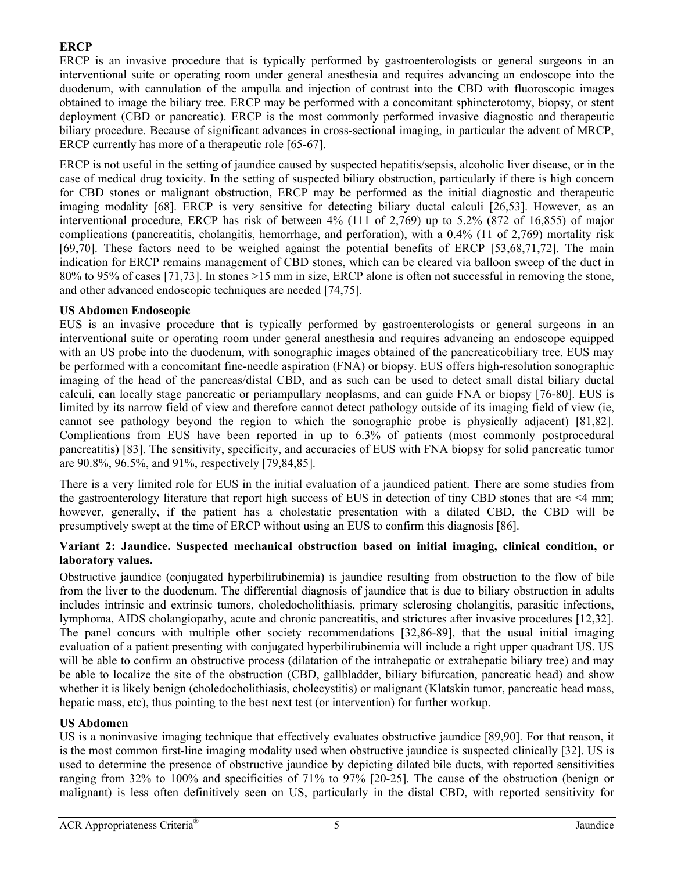# **ERCP**

ERCP is an invasive procedure that is typically performed by gastroenterologists or general surgeons in an interventional suite or operating room under general anesthesia and requires advancing an endoscope into the duodenum, with cannulation of the ampulla and injection of contrast into the CBD with fluoroscopic images obtained to image the biliary tree. ERCP may be performed with a concomitant sphincterotomy, biopsy, or stent deployment (CBD or pancreatic). ERCP is the most commonly performed invasive diagnostic and therapeutic biliary procedure. Because of significant advances in cross-sectional imaging, in particular the advent of MRCP, ERCP currently has more of a therapeutic role [65-67].

ERCP is not useful in the setting of jaundice caused by suspected hepatitis/sepsis, alcoholic liver disease, or in the case of medical drug toxicity. In the setting of suspected biliary obstruction, particularly if there is high concern for CBD stones or malignant obstruction, ERCP may be performed as the initial diagnostic and therapeutic imaging modality [68]. ERCP is very sensitive for detecting biliary ductal calculi [26,53]. However, as an interventional procedure, ERCP has risk of between 4% (111 of 2,769) up to 5.2% (872 of 16,855) of major complications (pancreatitis, cholangitis, hemorrhage, and perforation), with a 0.4% (11 of 2,769) mortality risk [69,70]. These factors need to be weighed against the potential benefits of ERCP [53,68,71,72]. The main indication for ERCP remains management of CBD stones, which can be cleared via balloon sweep of the duct in 80% to 95% of cases [71,73]. In stones >15 mm in size, ERCP alone is often not successful in removing the stone, and other advanced endoscopic techniques are needed [74,75].

### **US Abdomen Endoscopic**

EUS is an invasive procedure that is typically performed by gastroenterologists or general surgeons in an interventional suite or operating room under general anesthesia and requires advancing an endoscope equipped with an US probe into the duodenum, with sonographic images obtained of the pancreaticobiliary tree. EUS may be performed with a concomitant fine-needle aspiration (FNA) or biopsy. EUS offers high-resolution sonographic imaging of the head of the pancreas/distal CBD, and as such can be used to detect small distal biliary ductal calculi, can locally stage pancreatic or periampullary neoplasms, and can guide FNA or biopsy [76-80]. EUS is limited by its narrow field of view and therefore cannot detect pathology outside of its imaging field of view (ie, cannot see pathology beyond the region to which the sonographic probe is physically adjacent) [81,82]. Complications from EUS have been reported in up to 6.3% of patients (most commonly postprocedural pancreatitis) [83]. The sensitivity, specificity, and accuracies of EUS with FNA biopsy for solid pancreatic tumor are 90.8%, 96.5%, and 91%, respectively [79,84,85].

There is a very limited role for EUS in the initial evaluation of a jaundiced patient. There are some studies from the gastroenterology literature that report high success of EUS in detection of tiny CBD stones that are <4 mm; however, generally, if the patient has a cholestatic presentation with a dilated CBD, the CBD will be presumptively swept at the time of ERCP without using an EUS to confirm this diagnosis [86].

### **Variant 2: Jaundice. Suspected mechanical obstruction based on initial imaging, clinical condition, or laboratory values.**

Obstructive jaundice (conjugated hyperbilirubinemia) is jaundice resulting from obstruction to the flow of bile from the liver to the duodenum. The differential diagnosis of jaundice that is due to biliary obstruction in adults includes intrinsic and extrinsic tumors, choledocholithiasis, primary sclerosing cholangitis, parasitic infections, lymphoma, AIDS cholangiopathy, acute and chronic pancreatitis, and strictures after invasive procedures [12,32]. The panel concurs with multiple other society recommendations [32,86-89], that the usual initial imaging evaluation of a patient presenting with conjugated hyperbilirubinemia will include a right upper quadrant US. US will be able to confirm an obstructive process (dilatation of the intrahepatic or extrahepatic biliary tree) and may be able to localize the site of the obstruction (CBD, gallbladder, biliary bifurcation, pancreatic head) and show whether it is likely benign (choledocholithiasis, cholecystitis) or malignant (Klatskin tumor, pancreatic head mass, hepatic mass, etc), thus pointing to the best next test (or intervention) for further workup.

# **US Abdomen**

US is a noninvasive imaging technique that effectively evaluates obstructive jaundice [89,90]. For that reason, it is the most common first-line imaging modality used when obstructive jaundice is suspected clinically [32]. US is used to determine the presence of obstructive jaundice by depicting dilated bile ducts, with reported sensitivities ranging from 32% to 100% and specificities of 71% to 97% [20-25]. The cause of the obstruction (benign or malignant) is less often definitively seen on US, particularly in the distal CBD, with reported sensitivity for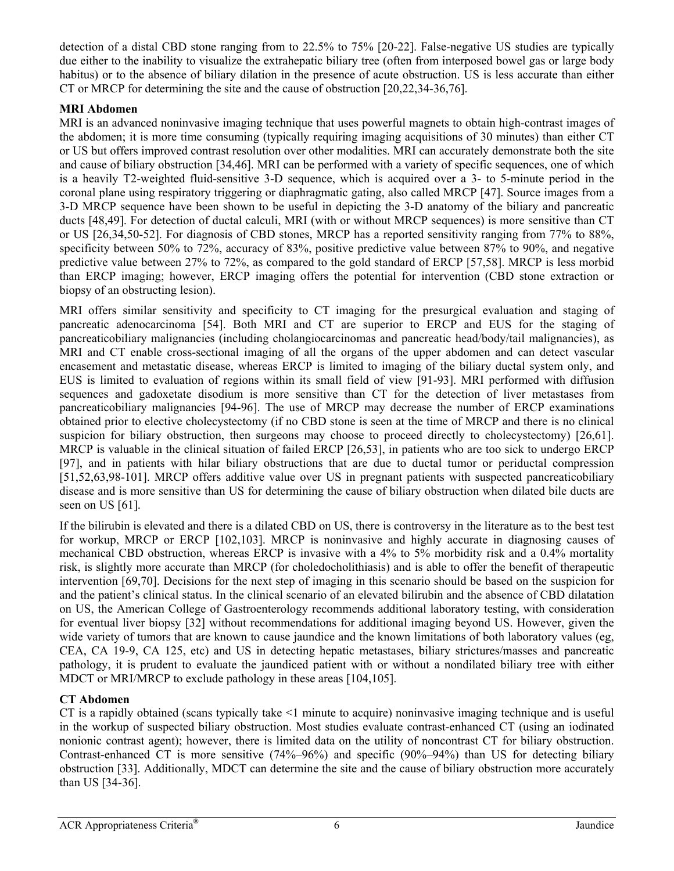detection of a distal CBD stone ranging from to 22.5% to 75% [20-22]. False-negative US studies are typically due either to the inability to visualize the extrahepatic biliary tree (often from interposed bowel gas or large body habitus) or to the absence of biliary dilation in the presence of acute obstruction. US is less accurate than either CT or MRCP for determining the site and the cause of obstruction [20,22,34-36,76].

# **MRI Abdomen**

MRI is an advanced noninvasive imaging technique that uses powerful magnets to obtain high-contrast images of the abdomen; it is more time consuming (typically requiring imaging acquisitions of 30 minutes) than either CT or US but offers improved contrast resolution over other modalities. MRI can accurately demonstrate both the site and cause of biliary obstruction [34,46]. MRI can be performed with a variety of specific sequences, one of which is a heavily T2-weighted fluid-sensitive 3-D sequence, which is acquired over a 3- to 5-minute period in the coronal plane using respiratory triggering or diaphragmatic gating, also called MRCP [47]. Source images from a 3-D MRCP sequence have been shown to be useful in depicting the 3-D anatomy of the biliary and pancreatic ducts [48,49]. For detection of ductal calculi, MRI (with or without MRCP sequences) is more sensitive than CT or US [26,34,50-52]. For diagnosis of CBD stones, MRCP has a reported sensitivity ranging from 77% to 88%, specificity between 50% to 72%, accuracy of 83%, positive predictive value between 87% to 90%, and negative predictive value between 27% to 72%, as compared to the gold standard of ERCP [57,58]. MRCP is less morbid than ERCP imaging; however, ERCP imaging offers the potential for intervention (CBD stone extraction or biopsy of an obstructing lesion).

MRI offers similar sensitivity and specificity to CT imaging for the presurgical evaluation and staging of pancreatic adenocarcinoma [54]. Both MRI and CT are superior to ERCP and EUS for the staging of pancreaticobiliary malignancies (including cholangiocarcinomas and pancreatic head/body/tail malignancies), as MRI and CT enable cross-sectional imaging of all the organs of the upper abdomen and can detect vascular encasement and metastatic disease, whereas ERCP is limited to imaging of the biliary ductal system only, and EUS is limited to evaluation of regions within its small field of view [91-93]. MRI performed with diffusion sequences and gadoxetate disodium is more sensitive than CT for the detection of liver metastases from pancreaticobiliary malignancies [94-96]. The use of MRCP may decrease the number of ERCP examinations obtained prior to elective cholecystectomy (if no CBD stone is seen at the time of MRCP and there is no clinical suspicion for biliary obstruction, then surgeons may choose to proceed directly to cholecystectomy) [26,61]. MRCP is valuable in the clinical situation of failed ERCP [26,53], in patients who are too sick to undergo ERCP [97], and in patients with hilar biliary obstructions that are due to ductal tumor or periductal compression [51,52,63,98-101]. MRCP offers additive value over US in pregnant patients with suspected pancreaticobiliary disease and is more sensitive than US for determining the cause of biliary obstruction when dilated bile ducts are seen on US [61].

If the bilirubin is elevated and there is a dilated CBD on US, there is controversy in the literature as to the best test for workup, MRCP or ERCP [102,103]. MRCP is noninvasive and highly accurate in diagnosing causes of mechanical CBD obstruction, whereas ERCP is invasive with a 4% to 5% morbidity risk and a 0.4% mortality risk, is slightly more accurate than MRCP (for choledocholithiasis) and is able to offer the benefit of therapeutic intervention [69,70]. Decisions for the next step of imaging in this scenario should be based on the suspicion for and the patient's clinical status. In the clinical scenario of an elevated bilirubin and the absence of CBD dilatation on US, the American College of Gastroenterology recommends additional laboratory testing, with consideration for eventual liver biopsy [32] without recommendations for additional imaging beyond US. However, given the wide variety of tumors that are known to cause jaundice and the known limitations of both laboratory values (eg, CEA, CA 19-9, CA 125, etc) and US in detecting hepatic metastases, biliary strictures/masses and pancreatic pathology, it is prudent to evaluate the jaundiced patient with or without a nondilated biliary tree with either MDCT or MRI/MRCP to exclude pathology in these areas [104,105].

### **CT Abdomen**

CT is a rapidly obtained (scans typically take <1 minute to acquire) noninvasive imaging technique and is useful in the workup of suspected biliary obstruction. Most studies evaluate contrast-enhanced CT (using an iodinated nonionic contrast agent); however, there is limited data on the utility of noncontrast CT for biliary obstruction. Contrast-enhanced CT is more sensitive (74%–96%) and specific (90%–94%) than US for detecting biliary obstruction [33]. Additionally, MDCT can determine the site and the cause of biliary obstruction more accurately than US [34-36].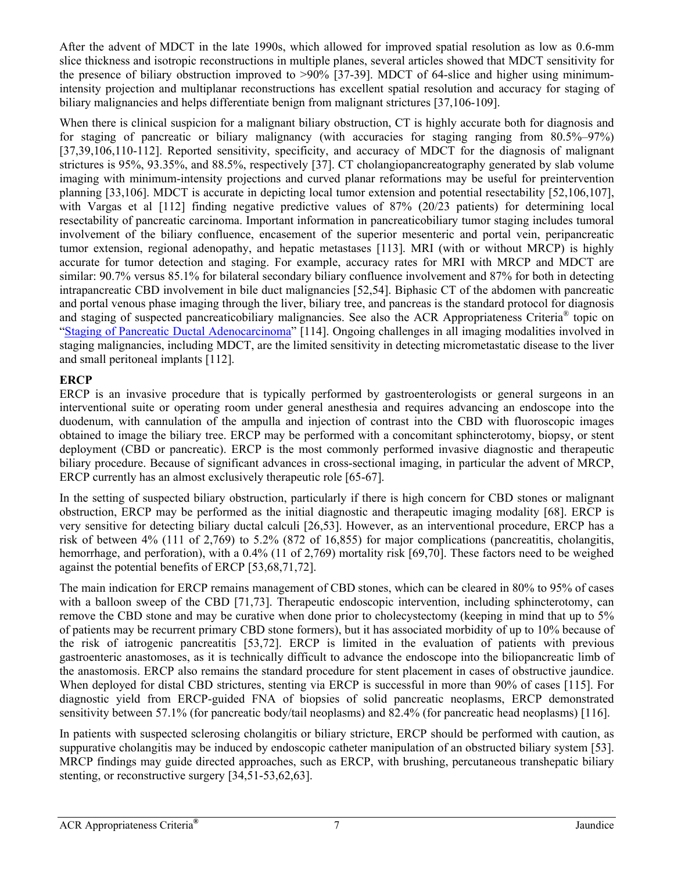After the advent of MDCT in the late 1990s, which allowed for improved spatial resolution as low as 0.6-mm slice thickness and isotropic reconstructions in multiple planes, several articles showed that MDCT sensitivity for the presence of biliary obstruction improved to >90% [37-39]. MDCT of 64-slice and higher using minimumintensity projection and multiplanar reconstructions has excellent spatial resolution and accuracy for staging of biliary malignancies and helps differentiate benign from malignant strictures [37,106-109].

When there is clinical suspicion for a malignant biliary obstruction, CT is highly accurate both for diagnosis and for staging of pancreatic or biliary malignancy (with accuracies for staging ranging from 80.5%–97%) [37,39,106,110-112]. Reported sensitivity, specificity, and accuracy of MDCT for the diagnosis of malignant strictures is 95%, 93.35%, and 88.5%, respectively [37]. CT cholangiopancreatography generated by slab volume imaging with minimum-intensity projections and curved planar reformations may be useful for preintervention planning [33,106]. MDCT is accurate in depicting local tumor extension and potential resectability [52,106,107], with Vargas et al [112] finding negative predictive values of 87% (20/23 patients) for determining local resectability of pancreatic carcinoma. Important information in pancreaticobiliary tumor staging includes tumoral involvement of the biliary confluence, encasement of the superior mesenteric and portal vein, peripancreatic tumor extension, regional adenopathy, and hepatic metastases [113]. MRI (with or without MRCP) is highly accurate for tumor detection and staging. For example, accuracy rates for MRI with MRCP and MDCT are similar: 90.7% versus 85.1% for bilateral secondary biliary confluence involvement and 87% for both in detecting intrapancreatic CBD involvement in bile duct malignancies [52,54]. Biphasic CT of the abdomen with pancreatic and portal venous phase imaging through the liver, biliary tree, and pancreas is the standard protocol for diagnosis and staging of suspected pancreaticobiliary malignancies. See also the ACR Appropriateness Criteria® topic on "[Staging of Pancreatic Ductal Adenocarcinoma"](https://acsearch.acr.org/docs/3099847/Narrative/) [114]. Ongoing challenges in all imaging modalities involved in staging malignancies, including MDCT, are the limited sensitivity in detecting micrometastatic disease to the liver and small peritoneal implants [112].

# **ERCP**

ERCP is an invasive procedure that is typically performed by gastroenterologists or general surgeons in an interventional suite or operating room under general anesthesia and requires advancing an endoscope into the duodenum, with cannulation of the ampulla and injection of contrast into the CBD with fluoroscopic images obtained to image the biliary tree. ERCP may be performed with a concomitant sphincterotomy, biopsy, or stent deployment (CBD or pancreatic). ERCP is the most commonly performed invasive diagnostic and therapeutic biliary procedure. Because of significant advances in cross-sectional imaging, in particular the advent of MRCP, ERCP currently has an almost exclusively therapeutic role [65-67].

In the setting of suspected biliary obstruction, particularly if there is high concern for CBD stones or malignant obstruction, ERCP may be performed as the initial diagnostic and therapeutic imaging modality [68]. ERCP is very sensitive for detecting biliary ductal calculi [26,53]. However, as an interventional procedure, ERCP has a risk of between 4% (111 of 2,769) to 5.2% (872 of 16,855) for major complications (pancreatitis, cholangitis, hemorrhage, and perforation), with a 0.4% (11 of 2,769) mortality risk [69,70]. These factors need to be weighed against the potential benefits of ERCP [53,68,71,72].

The main indication for ERCP remains management of CBD stones, which can be cleared in 80% to 95% of cases with a balloon sweep of the CBD [71,73]. Therapeutic endoscopic intervention, including sphincterotomy, can remove the CBD stone and may be curative when done prior to cholecystectomy (keeping in mind that up to 5% of patients may be recurrent primary CBD stone formers), but it has associated morbidity of up to 10% because of the risk of iatrogenic pancreatitis [53,72]. ERCP is limited in the evaluation of patients with previous gastroenteric anastomoses, as it is technically difficult to advance the endoscope into the biliopancreatic limb of the anastomosis. ERCP also remains the standard procedure for stent placement in cases of obstructive jaundice. When deployed for distal CBD strictures, stenting via ERCP is successful in more than 90% of cases [115]. For diagnostic yield from ERCP-guided FNA of biopsies of solid pancreatic neoplasms, ERCP demonstrated sensitivity between 57.1% (for pancreatic body/tail neoplasms) and 82.4% (for pancreatic head neoplasms) [116].

In patients with suspected sclerosing cholangitis or biliary stricture, ERCP should be performed with caution, as suppurative cholangitis may be induced by endoscopic catheter manipulation of an obstructed biliary system [53]. MRCP findings may guide directed approaches, such as ERCP, with brushing, percutaneous transhepatic biliary stenting, or reconstructive surgery [34,51-53,62,63].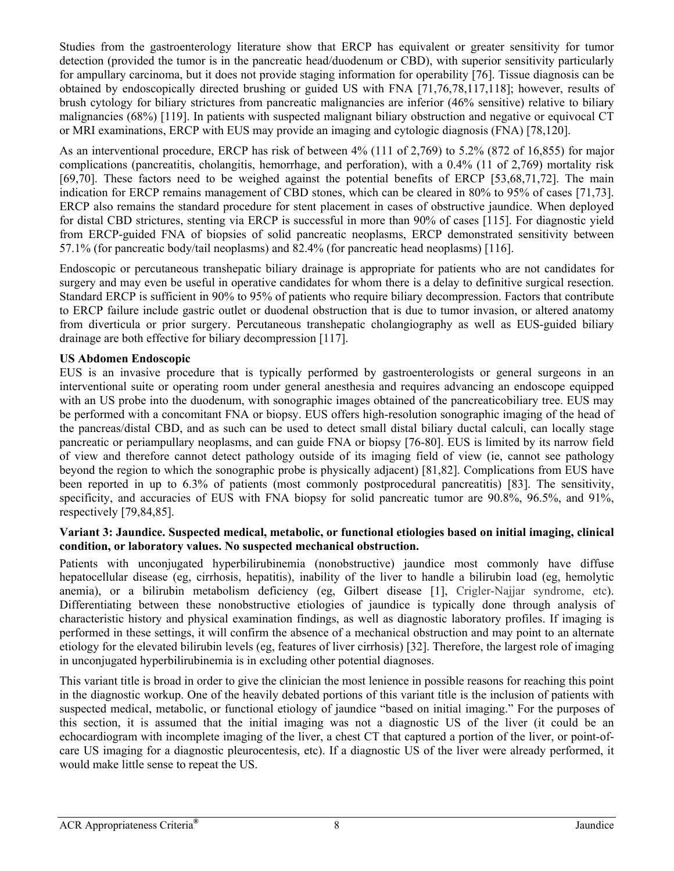Studies from the gastroenterology literature show that ERCP has equivalent or greater sensitivity for tumor detection (provided the tumor is in the pancreatic head/duodenum or CBD), with superior sensitivity particularly for ampullary carcinoma, but it does not provide staging information for operability [76]. Tissue diagnosis can be obtained by endoscopically directed brushing or guided US with FNA [71,76,78,117,118]; however, results of brush cytology for biliary strictures from pancreatic malignancies are inferior (46% sensitive) relative to biliary malignancies (68%) [119]. In patients with suspected malignant biliary obstruction and negative or equivocal CT or MRI examinations, ERCP with EUS may provide an imaging and cytologic diagnosis (FNA) [78,120].

As an interventional procedure, ERCP has risk of between 4% (111 of 2,769) to 5.2% (872 of 16,855) for major complications (pancreatitis, cholangitis, hemorrhage, and perforation), with a 0.4% (11 of 2,769) mortality risk [69,70]. These factors need to be weighed against the potential benefits of ERCP [53,68,71,72]. The main indication for ERCP remains management of CBD stones, which can be cleared in 80% to 95% of cases [71,73]. ERCP also remains the standard procedure for stent placement in cases of obstructive jaundice. When deployed for distal CBD strictures, stenting via ERCP is successful in more than 90% of cases [115]. For diagnostic yield from ERCP-guided FNA of biopsies of solid pancreatic neoplasms, ERCP demonstrated sensitivity between 57.1% (for pancreatic body/tail neoplasms) and 82.4% (for pancreatic head neoplasms) [116].

Endoscopic or percutaneous transhepatic biliary drainage is appropriate for patients who are not candidates for surgery and may even be useful in operative candidates for whom there is a delay to definitive surgical resection. Standard ERCP is sufficient in 90% to 95% of patients who require biliary decompression. Factors that contribute to ERCP failure include gastric outlet or duodenal obstruction that is due to tumor invasion, or altered anatomy from diverticula or prior surgery. Percutaneous transhepatic cholangiography as well as EUS-guided biliary drainage are both effective for biliary decompression [117].

# **US Abdomen Endoscopic**

EUS is an invasive procedure that is typically performed by gastroenterologists or general surgeons in an interventional suite or operating room under general anesthesia and requires advancing an endoscope equipped with an US probe into the duodenum, with sonographic images obtained of the pancreaticobiliary tree. EUS may be performed with a concomitant FNA or biopsy. EUS offers high-resolution sonographic imaging of the head of the pancreas/distal CBD, and as such can be used to detect small distal biliary ductal calculi, can locally stage pancreatic or periampullary neoplasms, and can guide FNA or biopsy [76-80]. EUS is limited by its narrow field of view and therefore cannot detect pathology outside of its imaging field of view (ie, cannot see pathology beyond the region to which the sonographic probe is physically adjacent) [81,82]. Complications from EUS have been reported in up to 6.3% of patients (most commonly postprocedural pancreatitis) [83]. The sensitivity, specificity, and accuracies of EUS with FNA biopsy for solid pancreatic tumor are 90.8%, 96.5%, and 91%, respectively [79,84,85].

### **Variant 3: Jaundice. Suspected medical, metabolic, or functional etiologies based on initial imaging, clinical condition, or laboratory values. No suspected mechanical obstruction.**

Patients with unconjugated hyperbilirubinemia (nonobstructive) jaundice most commonly have diffuse hepatocellular disease (eg, cirrhosis, hepatitis), inability of the liver to handle a bilirubin load (eg, hemolytic anemia), or a bilirubin metabolism deficiency (eg, Gilbert disease [1], Crigler-Najjar syndrome, etc). Differentiating between these nonobstructive etiologies of jaundice is typically done through analysis of characteristic history and physical examination findings, as well as diagnostic laboratory profiles. If imaging is performed in these settings, it will confirm the absence of a mechanical obstruction and may point to an alternate etiology for the elevated bilirubin levels (eg, features of liver cirrhosis) [32]. Therefore, the largest role of imaging in unconjugated hyperbilirubinemia is in excluding other potential diagnoses.

This variant title is broad in order to give the clinician the most lenience in possible reasons for reaching this point in the diagnostic workup. One of the heavily debated portions of this variant title is the inclusion of patients with suspected medical, metabolic, or functional etiology of jaundice "based on initial imaging." For the purposes of this section, it is assumed that the initial imaging was not a diagnostic US of the liver (it could be an echocardiogram with incomplete imaging of the liver, a chest CT that captured a portion of the liver, or point-ofcare US imaging for a diagnostic pleurocentesis, etc). If a diagnostic US of the liver were already performed, it would make little sense to repeat the US.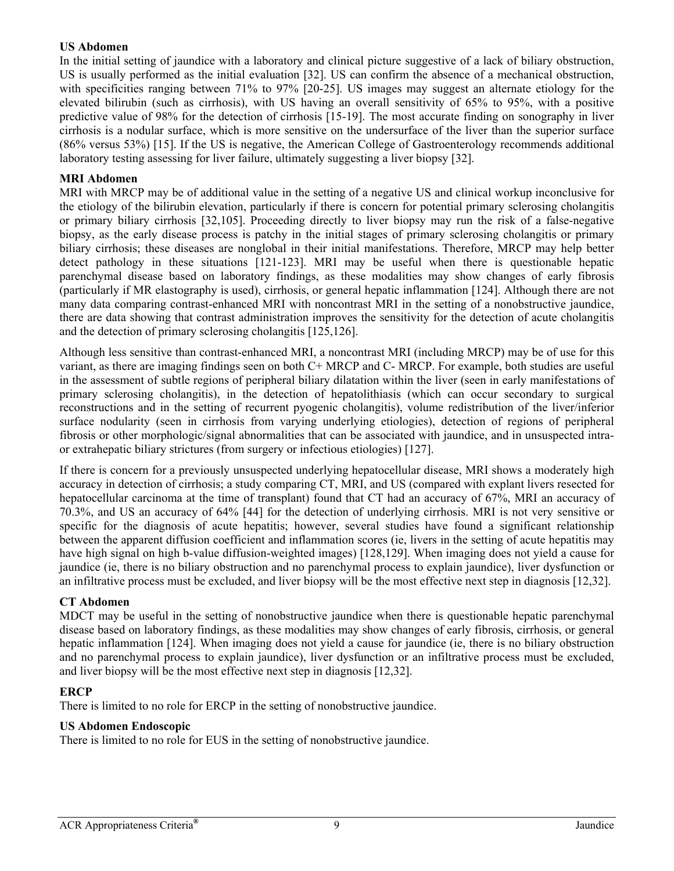### **US Abdomen**

In the initial setting of jaundice with a laboratory and clinical picture suggestive of a lack of biliary obstruction, US is usually performed as the initial evaluation [32]. US can confirm the absence of a mechanical obstruction, with specificities ranging between 71% to 97% [20-25]. US images may suggest an alternate etiology for the elevated bilirubin (such as cirrhosis), with US having an overall sensitivity of 65% to 95%, with a positive predictive value of 98% for the detection of cirrhosis [15-19]. The most accurate finding on sonography in liver cirrhosis is a nodular surface, which is more sensitive on the undersurface of the liver than the superior surface (86% versus 53%) [15]. If the US is negative, the American College of Gastroenterology recommends additional laboratory testing assessing for liver failure, ultimately suggesting a liver biopsy [32].

### **MRI Abdomen**

MRI with MRCP may be of additional value in the setting of a negative US and clinical workup inconclusive for the etiology of the bilirubin elevation, particularly if there is concern for potential primary sclerosing cholangitis or primary biliary cirrhosis [32,105]. Proceeding directly to liver biopsy may run the risk of a false-negative biopsy, as the early disease process is patchy in the initial stages of primary sclerosing cholangitis or primary biliary cirrhosis; these diseases are nonglobal in their initial manifestations. Therefore, MRCP may help better detect pathology in these situations [121-123]. MRI may be useful when there is questionable hepatic parenchymal disease based on laboratory findings, as these modalities may show changes of early fibrosis (particularly if MR elastography is used), cirrhosis, or general hepatic inflammation [124]. Although there are not many data comparing contrast-enhanced MRI with noncontrast MRI in the setting of a nonobstructive jaundice, there are data showing that contrast administration improves the sensitivity for the detection of acute cholangitis and the detection of primary sclerosing cholangitis [125,126].

Although less sensitive than contrast-enhanced MRI, a noncontrast MRI (including MRCP) may be of use for this variant, as there are imaging findings seen on both C+ MRCP and C- MRCP. For example, both studies are useful in the assessment of subtle regions of peripheral biliary dilatation within the liver (seen in early manifestations of primary sclerosing cholangitis), in the detection of hepatolithiasis (which can occur secondary to surgical reconstructions and in the setting of recurrent pyogenic cholangitis), volume redistribution of the liver/inferior surface nodularity (seen in cirrhosis from varying underlying etiologies), detection of regions of peripheral fibrosis or other morphologic/signal abnormalities that can be associated with jaundice, and in unsuspected intraor extrahepatic biliary strictures (from surgery or infectious etiologies) [127].

If there is concern for a previously unsuspected underlying hepatocellular disease, MRI shows a moderately high accuracy in detection of cirrhosis; a study comparing CT, MRI, and US (compared with explant livers resected for hepatocellular carcinoma at the time of transplant) found that CT had an accuracy of 67%, MRI an accuracy of 70.3%, and US an accuracy of 64% [44] for the detection of underlying cirrhosis. MRI is not very sensitive or specific for the diagnosis of acute hepatitis; however, several studies have found a significant relationship between the apparent diffusion coefficient and inflammation scores (ie, livers in the setting of acute hepatitis may have high signal on high b-value diffusion-weighted images) [128,129]. When imaging does not yield a cause for jaundice (ie, there is no biliary obstruction and no parenchymal process to explain jaundice), liver dysfunction or an infiltrative process must be excluded, and liver biopsy will be the most effective next step in diagnosis [12,32].

### **CT Abdomen**

MDCT may be useful in the setting of nonobstructive jaundice when there is questionable hepatic parenchymal disease based on laboratory findings, as these modalities may show changes of early fibrosis, cirrhosis, or general hepatic inflammation [124]. When imaging does not yield a cause for jaundice (ie, there is no biliary obstruction and no parenchymal process to explain jaundice), liver dysfunction or an infiltrative process must be excluded, and liver biopsy will be the most effective next step in diagnosis [12,32].

### **ERCP**

There is limited to no role for ERCP in the setting of nonobstructive jaundice.

### **US Abdomen Endoscopic**

There is limited to no role for EUS in the setting of nonobstructive jaundice.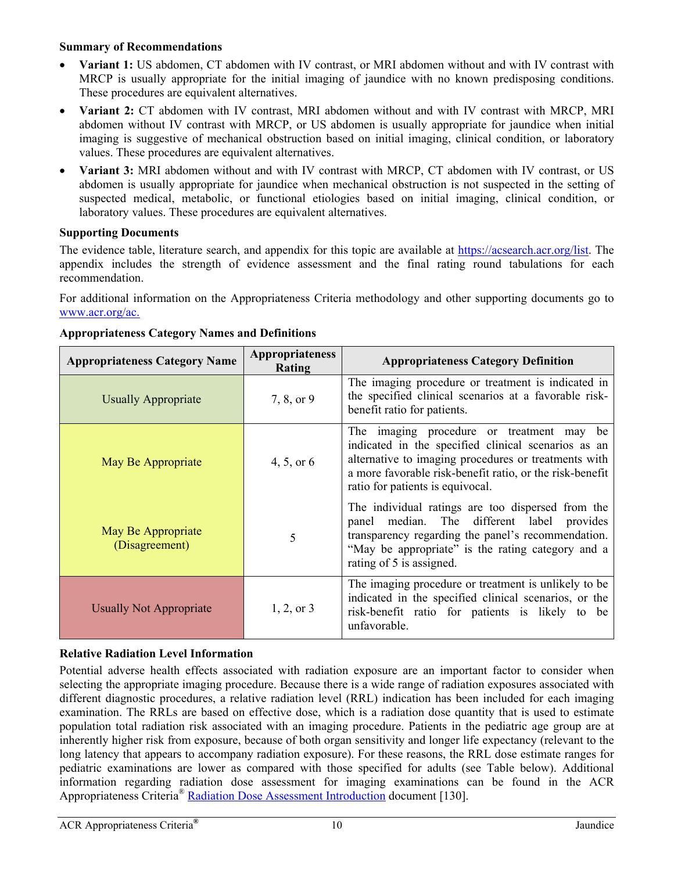### **Summary of Recommendations**

- **Variant 1:** US abdomen, CT abdomen with IV contrast, or MRI abdomen without and with IV contrast with MRCP is usually appropriate for the initial imaging of jaundice with no known predisposing conditions. These procedures are equivalent alternatives.
- **Variant 2:** CT abdomen with IV contrast, MRI abdomen without and with IV contrast with MRCP, MRI abdomen without IV contrast with MRCP, or US abdomen is usually appropriate for jaundice when initial imaging is suggestive of mechanical obstruction based on initial imaging, clinical condition, or laboratory values. These procedures are equivalent alternatives.
- **Variant 3:** MRI abdomen without and with IV contrast with MRCP, CT abdomen with IV contrast, or US abdomen is usually appropriate for jaundice when mechanical obstruction is not suspected in the setting of suspected medical, metabolic, or functional etiologies based on initial imaging, clinical condition, or laboratory values. These procedures are equivalent alternatives.

### **Supporting Documents**

The evidence table, literature search, and appendix for this topic are available at https://acsearch.acr.org/list. The appendix includes the strength of evidence assessment and the final rating round tabulations for each recommendation.

For additional information on the Appropriateness Criteria methodology and other supporting documents go to [www.acr.org/ac.](https://www.acr.org/Clinical-Resources/ACR-Appropriateness-Criteria)

| <b>Appropriateness Category Name</b> | Appropriateness<br>Rating | <b>Appropriateness Category Definition</b>                                                                                                                                                                                                                  |
|--------------------------------------|---------------------------|-------------------------------------------------------------------------------------------------------------------------------------------------------------------------------------------------------------------------------------------------------------|
| <b>Usually Appropriate</b>           | 7, 8, or 9                | The imaging procedure or treatment is indicated in<br>the specified clinical scenarios at a favorable risk-<br>benefit ratio for patients.                                                                                                                  |
| May Be Appropriate                   | 4, 5, or $6$              | The imaging procedure or treatment may<br>be<br>indicated in the specified clinical scenarios as an<br>alternative to imaging procedures or treatments with<br>a more favorable risk-benefit ratio, or the risk-benefit<br>ratio for patients is equivocal. |
| May Be Appropriate<br>(Disagreement) | 5                         | The individual ratings are too dispersed from the<br>panel median. The different label provides<br>transparency regarding the panel's recommendation.<br>"May be appropriate" is the rating category and a<br>rating of 5 is assigned.                      |
| <b>Usually Not Appropriate</b>       | $1, 2,$ or 3              | The imaging procedure or treatment is unlikely to be<br>indicated in the specified clinical scenarios, or the<br>risk-benefit ratio for patients is likely to be<br>unfavorable.                                                                            |

# **Appropriateness Category Names and Definitions**

# **Relative Radiation Level Information**

Potential adverse health effects associated with radiation exposure are an important factor to consider when selecting the appropriate imaging procedure. Because there is a wide range of radiation exposures associated with different diagnostic procedures, a relative radiation level (RRL) indication has been included for each imaging examination. The RRLs are based on effective dose, which is a radiation dose quantity that is used to estimate population total radiation risk associated with an imaging procedure. Patients in the pediatric age group are at inherently higher risk from exposure, because of both organ sensitivity and longer life expectancy (relevant to the long latency that appears to accompany radiation exposure). For these reasons, the RRL dose estimate ranges for pediatric examinations are lower as compared with those specified for adults (see Table below). Additional information regarding radiation dose assessment for imaging examinations can be found in the ACR Appropriateness Criteria® [Radiation Dose Assessment Introduction](https://www.acr.org/-/media/ACR/Files/Appropriateness-Criteria/RadiationDoseAssessmentIntro.pdf) document [130].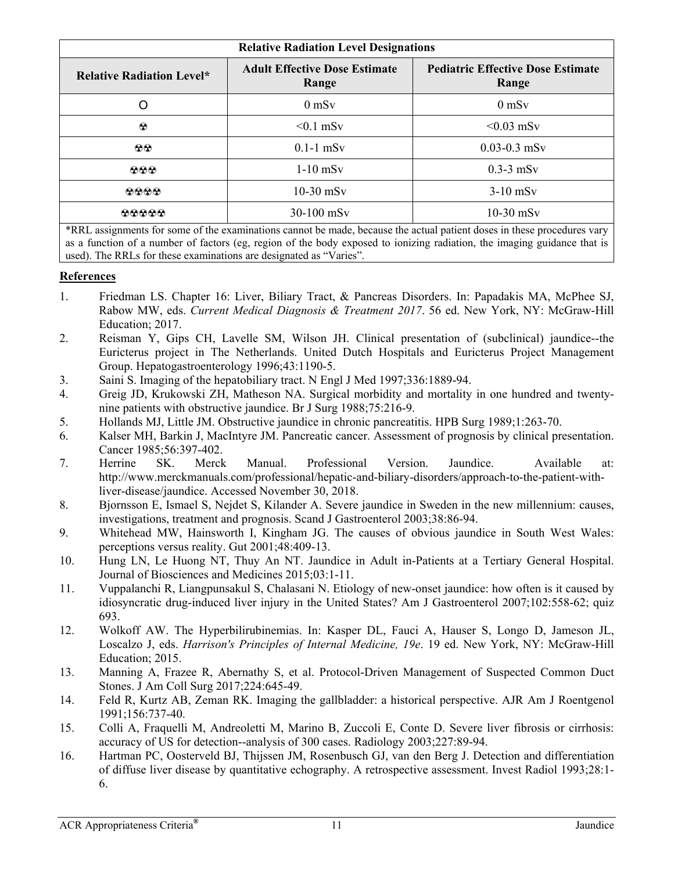| <b>Relative Radiation Level Designations</b> |                                               |                                                   |  |
|----------------------------------------------|-----------------------------------------------|---------------------------------------------------|--|
| <b>Relative Radiation Level*</b>             | <b>Adult Effective Dose Estimate</b><br>Range | <b>Pediatric Effective Dose Estimate</b><br>Range |  |
| O                                            | $0 \text{ mSv}$                               | $0$ mS $v$                                        |  |
| $\odot$                                      | $< 0.1$ mSv                                   | $< 0.03$ mSv                                      |  |
| $\circledcirc$                               | $0.1-1$ mSv                                   | $0.03 - 0.3$ mSv                                  |  |
| 000                                          | $1-10$ mSv                                    | $0.3-3$ mSv                                       |  |
| 0000                                         | $10-30$ mSv                                   | $3-10$ mSv                                        |  |
| <b>00000</b>                                 | 30-100 mSv                                    | $10-30$ mSv                                       |  |

\*RRL assignments for some of the examinations cannot be made, because the actual patient doses in these procedures vary as a function of a number of factors (eg, region of the body exposed to ionizing radiation, the imaging guidance that is used). The RRLs for these examinations are designated as "Varies".

# **References**

- 1. Friedman LS. Chapter 16: Liver, Biliary Tract, & Pancreas Disorders. In: Papadakis MA, McPhee SJ, Rabow MW, eds. *Current Medical Diagnosis & Treatment 2017*. 56 ed. New York, NY: McGraw-Hill Education; 2017.
- 2. Reisman Y, Gips CH, Lavelle SM, Wilson JH. Clinical presentation of (subclinical) jaundice--the Euricterus project in The Netherlands. United Dutch Hospitals and Euricterus Project Management Group. Hepatogastroenterology 1996;43:1190-5.
- 3. Saini S. Imaging of the hepatobiliary tract. N Engl J Med 1997;336:1889-94.
- 4. Greig JD, Krukowski ZH, Matheson NA. Surgical morbidity and mortality in one hundred and twentynine patients with obstructive jaundice. Br J Surg 1988;75:216-9.
- 5. Hollands MJ, Little JM. Obstructive jaundice in chronic pancreatitis. HPB Surg 1989;1:263-70.
- 6. Kalser MH, Barkin J, MacIntyre JM. Pancreatic cancer. Assessment of prognosis by clinical presentation. Cancer 1985;56:397-402.
- 7. Herrine SK. Merck Manual. Professional Version. Jaundice. Available at: http://www.merckmanuals.com/professional/hepatic-and-biliary-disorders/approach-to-the-patient-withliver-disease/jaundice. Accessed November 30, 2018.
- 8. Bjornsson E, Ismael S, Nejdet S, Kilander A. Severe jaundice in Sweden in the new millennium: causes, investigations, treatment and prognosis. Scand J Gastroenterol 2003;38:86-94.
- 9. Whitehead MW, Hainsworth I, Kingham JG. The causes of obvious jaundice in South West Wales: perceptions versus reality. Gut 2001;48:409-13.
- 10. Hung LN, Le Huong NT, Thuy An NT. Jaundice in Adult in-Patients at a Tertiary General Hospital. Journal of Biosciences and Medicines 2015;03:1-11.
- 11. Vuppalanchi R, Liangpunsakul S, Chalasani N. Etiology of new-onset jaundice: how often is it caused by idiosyncratic drug-induced liver injury in the United States? Am J Gastroenterol 2007;102:558-62; quiz 693.
- 12. Wolkoff AW. The Hyperbilirubinemias. In: Kasper DL, Fauci A, Hauser S, Longo D, Jameson JL, Loscalzo J, eds. *Harrison's Principles of Internal Medicine, 19e*. 19 ed. New York, NY: McGraw-Hill Education; 2015.
- 13. Manning A, Frazee R, Abernathy S, et al. Protocol-Driven Management of Suspected Common Duct Stones. J Am Coll Surg 2017;224:645-49.
- 14. Feld R, Kurtz AB, Zeman RK. Imaging the gallbladder: a historical perspective. AJR Am J Roentgenol 1991;156:737-40.
- 15. Colli A, Fraquelli M, Andreoletti M, Marino B, Zuccoli E, Conte D. Severe liver fibrosis or cirrhosis: accuracy of US for detection--analysis of 300 cases. Radiology 2003;227:89-94.
- 16. Hartman PC, Oosterveld BJ, Thijssen JM, Rosenbusch GJ, van den Berg J. Detection and differentiation of diffuse liver disease by quantitative echography. A retrospective assessment. Invest Radiol 1993;28:1- 6.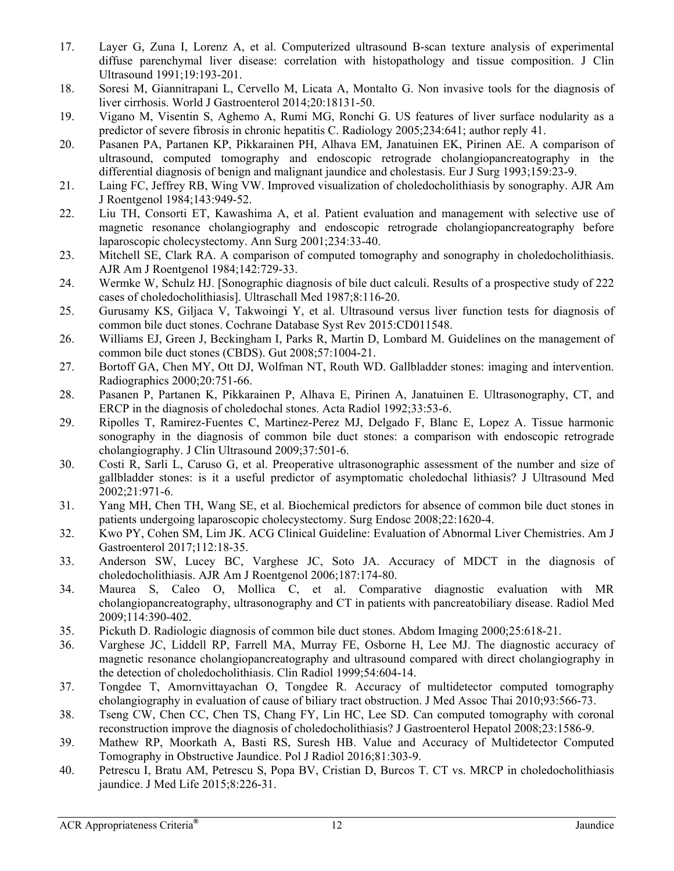- 17. Layer G, Zuna I, Lorenz A, et al. Computerized ultrasound B-scan texture analysis of experimental diffuse parenchymal liver disease: correlation with histopathology and tissue composition. J Clin Ultrasound 1991;19:193-201.
- 18. Soresi M, Giannitrapani L, Cervello M, Licata A, Montalto G. Non invasive tools for the diagnosis of liver cirrhosis. World J Gastroenterol 2014;20:18131-50.
- 19. Vigano M, Visentin S, Aghemo A, Rumi MG, Ronchi G. US features of liver surface nodularity as a predictor of severe fibrosis in chronic hepatitis C. Radiology 2005;234:641; author reply 41.
- 20. Pasanen PA, Partanen KP, Pikkarainen PH, Alhava EM, Janatuinen EK, Pirinen AE. A comparison of ultrasound, computed tomography and endoscopic retrograde cholangiopancreatography in the differential diagnosis of benign and malignant jaundice and cholestasis. Eur J Surg 1993;159:23-9.
- 21. Laing FC, Jeffrey RB, Wing VW. Improved visualization of choledocholithiasis by sonography. AJR Am J Roentgenol 1984;143:949-52.
- 22. Liu TH, Consorti ET, Kawashima A, et al. Patient evaluation and management with selective use of magnetic resonance cholangiography and endoscopic retrograde cholangiopancreatography before laparoscopic cholecystectomy. Ann Surg 2001;234:33-40.
- 23. Mitchell SE, Clark RA. A comparison of computed tomography and sonography in choledocholithiasis. AJR Am J Roentgenol 1984;142:729-33.
- 24. Wermke W, Schulz HJ. [Sonographic diagnosis of bile duct calculi. Results of a prospective study of 222 cases of choledocholithiasis]. Ultraschall Med 1987;8:116-20.
- 25. Gurusamy KS, Giljaca V, Takwoingi Y, et al. Ultrasound versus liver function tests for diagnosis of common bile duct stones. Cochrane Database Syst Rev 2015:CD011548.
- 26. Williams EJ, Green J, Beckingham I, Parks R, Martin D, Lombard M. Guidelines on the management of common bile duct stones (CBDS). Gut 2008;57:1004-21.
- 27. Bortoff GA, Chen MY, Ott DJ, Wolfman NT, Routh WD. Gallbladder stones: imaging and intervention. Radiographics 2000;20:751-66.
- 28. Pasanen P, Partanen K, Pikkarainen P, Alhava E, Pirinen A, Janatuinen E. Ultrasonography, CT, and ERCP in the diagnosis of choledochal stones. Acta Radiol 1992;33:53-6.
- 29. Ripolles T, Ramirez-Fuentes C, Martinez-Perez MJ, Delgado F, Blanc E, Lopez A. Tissue harmonic sonography in the diagnosis of common bile duct stones: a comparison with endoscopic retrograde cholangiography. J Clin Ultrasound 2009;37:501-6.
- 30. Costi R, Sarli L, Caruso G, et al. Preoperative ultrasonographic assessment of the number and size of gallbladder stones: is it a useful predictor of asymptomatic choledochal lithiasis? J Ultrasound Med 2002;21:971-6.
- 31. Yang MH, Chen TH, Wang SE, et al. Biochemical predictors for absence of common bile duct stones in patients undergoing laparoscopic cholecystectomy. Surg Endosc 2008;22:1620-4.
- 32. Kwo PY, Cohen SM, Lim JK. ACG Clinical Guideline: Evaluation of Abnormal Liver Chemistries. Am J Gastroenterol 2017;112:18-35.
- 33. Anderson SW, Lucey BC, Varghese JC, Soto JA. Accuracy of MDCT in the diagnosis of choledocholithiasis. AJR Am J Roentgenol 2006;187:174-80.
- 34. Maurea S, Caleo O, Mollica C, et al. Comparative diagnostic evaluation with MR cholangiopancreatography, ultrasonography and CT in patients with pancreatobiliary disease. Radiol Med 2009;114:390-402.
- 35. Pickuth D. Radiologic diagnosis of common bile duct stones. Abdom Imaging 2000;25:618-21.
- 36. Varghese JC, Liddell RP, Farrell MA, Murray FE, Osborne H, Lee MJ. The diagnostic accuracy of magnetic resonance cholangiopancreatography and ultrasound compared with direct cholangiography in the detection of choledocholithiasis. Clin Radiol 1999;54:604-14.
- 37. Tongdee T, Amornvittayachan O, Tongdee R. Accuracy of multidetector computed tomography cholangiography in evaluation of cause of biliary tract obstruction. J Med Assoc Thai 2010;93:566-73.
- 38. Tseng CW, Chen CC, Chen TS, Chang FY, Lin HC, Lee SD. Can computed tomography with coronal reconstruction improve the diagnosis of choledocholithiasis? J Gastroenterol Hepatol 2008;23:1586-9.
- 39. Mathew RP, Moorkath A, Basti RS, Suresh HB. Value and Accuracy of Multidetector Computed Tomography in Obstructive Jaundice. Pol J Radiol 2016;81:303-9.
- 40. Petrescu I, Bratu AM, Petrescu S, Popa BV, Cristian D, Burcos T. CT vs. MRCP in choledocholithiasis jaundice. J Med Life 2015;8:226-31.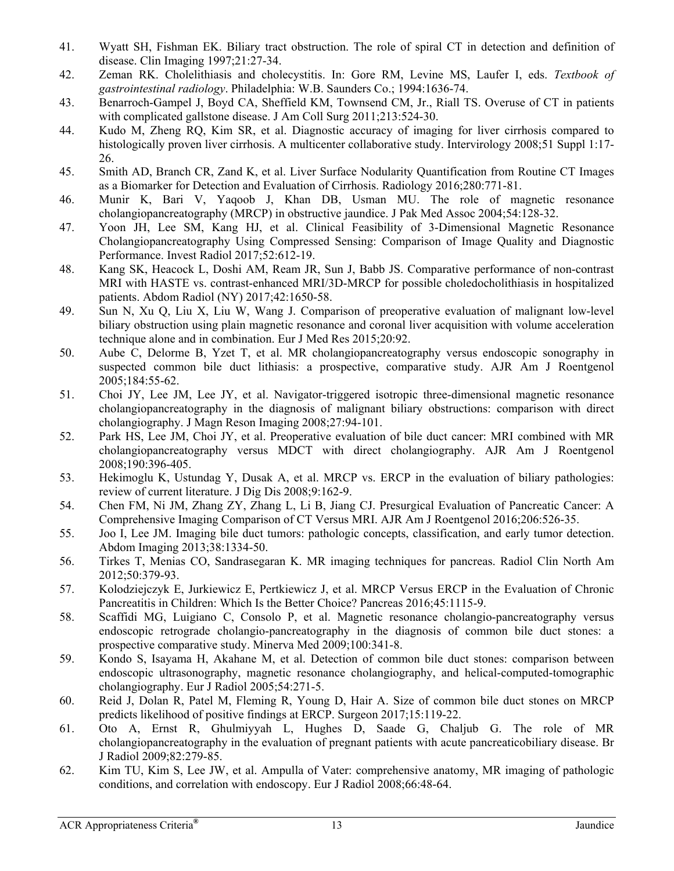- 41. Wyatt SH, Fishman EK. Biliary tract obstruction. The role of spiral CT in detection and definition of disease. Clin Imaging 1997;21:27-34.
- 42. Zeman RK. Cholelithiasis and cholecystitis. In: Gore RM, Levine MS, Laufer I, eds. *Textbook of gastrointestinal radiology*. Philadelphia: W.B. Saunders Co.; 1994:1636-74.
- 43. Benarroch-Gampel J, Boyd CA, Sheffield KM, Townsend CM, Jr., Riall TS. Overuse of CT in patients with complicated gallstone disease. J Am Coll Surg 2011:213:524-30.
- 44. Kudo M, Zheng RQ, Kim SR, et al. Diagnostic accuracy of imaging for liver cirrhosis compared to histologically proven liver cirrhosis. A multicenter collaborative study. Intervirology 2008;51 Suppl 1:17-26.
- 45. Smith AD, Branch CR, Zand K, et al. Liver Surface Nodularity Quantification from Routine CT Images as a Biomarker for Detection and Evaluation of Cirrhosis. Radiology 2016;280:771-81.
- 46. Munir K, Bari V, Yaqoob J, Khan DB, Usman MU. The role of magnetic resonance cholangiopancreatography (MRCP) in obstructive jaundice. J Pak Med Assoc 2004;54:128-32.
- 47. Yoon JH, Lee SM, Kang HJ, et al. Clinical Feasibility of 3-Dimensional Magnetic Resonance Cholangiopancreatography Using Compressed Sensing: Comparison of Image Quality and Diagnostic Performance. Invest Radiol 2017;52:612-19.
- 48. Kang SK, Heacock L, Doshi AM, Ream JR, Sun J, Babb JS. Comparative performance of non-contrast MRI with HASTE vs. contrast-enhanced MRI/3D-MRCP for possible choledocholithiasis in hospitalized patients. Abdom Radiol (NY) 2017;42:1650-58.
- 49. Sun N, Xu Q, Liu X, Liu W, Wang J. Comparison of preoperative evaluation of malignant low-level biliary obstruction using plain magnetic resonance and coronal liver acquisition with volume acceleration technique alone and in combination. Eur J Med Res 2015;20:92.
- 50. Aube C, Delorme B, Yzet T, et al. MR cholangiopancreatography versus endoscopic sonography in suspected common bile duct lithiasis: a prospective, comparative study. AJR Am J Roentgenol 2005;184:55-62.
- 51. Choi JY, Lee JM, Lee JY, et al. Navigator-triggered isotropic three-dimensional magnetic resonance cholangiopancreatography in the diagnosis of malignant biliary obstructions: comparison with direct cholangiography. J Magn Reson Imaging 2008;27:94-101.
- 52. Park HS, Lee JM, Choi JY, et al. Preoperative evaluation of bile duct cancer: MRI combined with MR cholangiopancreatography versus MDCT with direct cholangiography. AJR Am J Roentgenol 2008;190:396-405.
- 53. Hekimoglu K, Ustundag Y, Dusak A, et al. MRCP vs. ERCP in the evaluation of biliary pathologies: review of current literature. J Dig Dis 2008;9:162-9.
- 54. Chen FM, Ni JM, Zhang ZY, Zhang L, Li B, Jiang CJ. Presurgical Evaluation of Pancreatic Cancer: A Comprehensive Imaging Comparison of CT Versus MRI. AJR Am J Roentgenol 2016;206:526-35.
- 55. Joo I, Lee JM. Imaging bile duct tumors: pathologic concepts, classification, and early tumor detection. Abdom Imaging 2013;38:1334-50.
- 56. Tirkes T, Menias CO, Sandrasegaran K. MR imaging techniques for pancreas. Radiol Clin North Am 2012;50:379-93.
- 57. Kolodziejczyk E, Jurkiewicz E, Pertkiewicz J, et al. MRCP Versus ERCP in the Evaluation of Chronic Pancreatitis in Children: Which Is the Better Choice? Pancreas 2016;45:1115-9.
- 58. Scaffidi MG, Luigiano C, Consolo P, et al. Magnetic resonance cholangio-pancreatography versus endoscopic retrograde cholangio-pancreatography in the diagnosis of common bile duct stones: a prospective comparative study. Minerva Med 2009;100:341-8.
- 59. Kondo S, Isayama H, Akahane M, et al. Detection of common bile duct stones: comparison between endoscopic ultrasonography, magnetic resonance cholangiography, and helical-computed-tomographic cholangiography. Eur J Radiol 2005;54:271-5.
- 60. Reid J, Dolan R, Patel M, Fleming R, Young D, Hair A. Size of common bile duct stones on MRCP predicts likelihood of positive findings at ERCP. Surgeon 2017;15:119-22.
- 61. Oto A, Ernst R, Ghulmiyyah L, Hughes D, Saade G, Chaljub G. The role of MR cholangiopancreatography in the evaluation of pregnant patients with acute pancreaticobiliary disease. Br J Radiol 2009;82:279-85.
- 62. Kim TU, Kim S, Lee JW, et al. Ampulla of Vater: comprehensive anatomy, MR imaging of pathologic conditions, and correlation with endoscopy. Eur J Radiol 2008;66:48-64.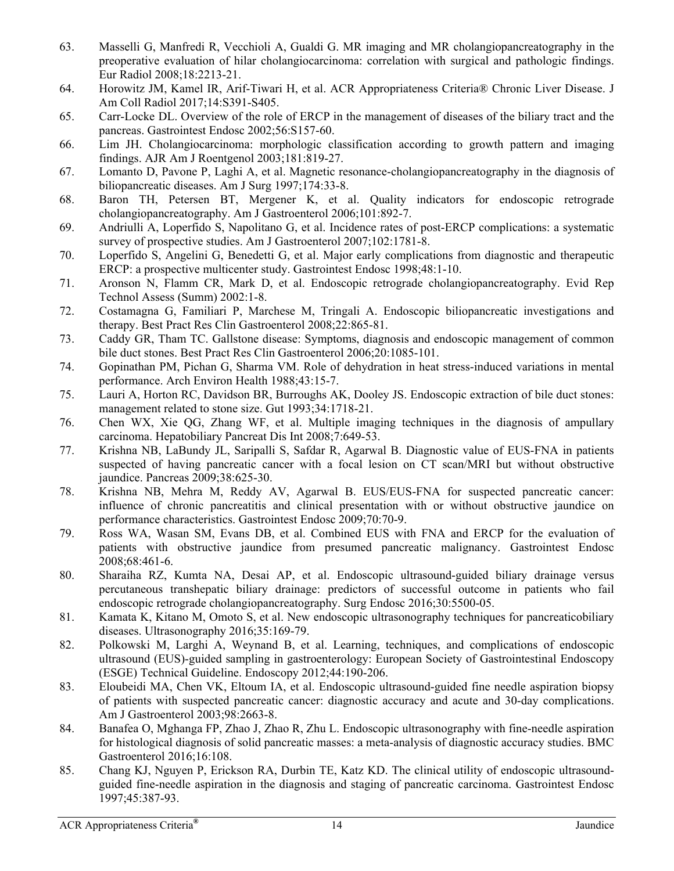- 63. Masselli G, Manfredi R, Vecchioli A, Gualdi G. MR imaging and MR cholangiopancreatography in the preoperative evaluation of hilar cholangiocarcinoma: correlation with surgical and pathologic findings. Eur Radiol 2008;18:2213-21.
- 64. Horowitz JM, Kamel IR, Arif-Tiwari H, et al. ACR Appropriateness Criteria® Chronic Liver Disease. J Am Coll Radiol 2017;14:S391-S405.
- 65. Carr-Locke DL. Overview of the role of ERCP in the management of diseases of the biliary tract and the pancreas. Gastrointest Endosc 2002;56:S157-60.
- 66. Lim JH. Cholangiocarcinoma: morphologic classification according to growth pattern and imaging findings. AJR Am J Roentgenol 2003;181:819-27.
- 67. Lomanto D, Pavone P, Laghi A, et al. Magnetic resonance-cholangiopancreatography in the diagnosis of biliopancreatic diseases. Am J Surg 1997;174:33-8.
- 68. Baron TH, Petersen BT, Mergener K, et al. Quality indicators for endoscopic retrograde cholangiopancreatography. Am J Gastroenterol 2006;101:892-7.
- 69. Andriulli A, Loperfido S, Napolitano G, et al. Incidence rates of post-ERCP complications: a systematic survey of prospective studies. Am J Gastroenterol 2007;102:1781-8.
- 70. Loperfido S, Angelini G, Benedetti G, et al. Major early complications from diagnostic and therapeutic ERCP: a prospective multicenter study. Gastrointest Endosc 1998;48:1-10.
- 71. Aronson N, Flamm CR, Mark D, et al. Endoscopic retrograde cholangiopancreatography. Evid Rep Technol Assess (Summ) 2002:1-8.
- 72. Costamagna G, Familiari P, Marchese M, Tringali A. Endoscopic biliopancreatic investigations and therapy. Best Pract Res Clin Gastroenterol 2008;22:865-81.
- 73. Caddy GR, Tham TC. Gallstone disease: Symptoms, diagnosis and endoscopic management of common bile duct stones. Best Pract Res Clin Gastroenterol 2006;20:1085-101.
- 74. Gopinathan PM, Pichan G, Sharma VM. Role of dehydration in heat stress-induced variations in mental performance. Arch Environ Health 1988;43:15-7.
- 75. Lauri A, Horton RC, Davidson BR, Burroughs AK, Dooley JS. Endoscopic extraction of bile duct stones: management related to stone size. Gut 1993;34:1718-21.
- 76. Chen WX, Xie QG, Zhang WF, et al. Multiple imaging techniques in the diagnosis of ampullary carcinoma. Hepatobiliary Pancreat Dis Int 2008;7:649-53.
- 77. Krishna NB, LaBundy JL, Saripalli S, Safdar R, Agarwal B. Diagnostic value of EUS-FNA in patients suspected of having pancreatic cancer with a focal lesion on CT scan/MRI but without obstructive jaundice. Pancreas 2009;38:625-30.
- 78. Krishna NB, Mehra M, Reddy AV, Agarwal B. EUS/EUS-FNA for suspected pancreatic cancer: influence of chronic pancreatitis and clinical presentation with or without obstructive jaundice on performance characteristics. Gastrointest Endosc 2009;70:70-9.
- 79. Ross WA, Wasan SM, Evans DB, et al. Combined EUS with FNA and ERCP for the evaluation of patients with obstructive jaundice from presumed pancreatic malignancy. Gastrointest Endosc 2008;68:461-6.
- 80. Sharaiha RZ, Kumta NA, Desai AP, et al. Endoscopic ultrasound-guided biliary drainage versus percutaneous transhepatic biliary drainage: predictors of successful outcome in patients who fail endoscopic retrograde cholangiopancreatography. Surg Endosc 2016;30:5500-05.
- 81. Kamata K, Kitano M, Omoto S, et al. New endoscopic ultrasonography techniques for pancreaticobiliary diseases. Ultrasonography 2016;35:169-79.
- 82. Polkowski M, Larghi A, Weynand B, et al. Learning, techniques, and complications of endoscopic ultrasound (EUS)-guided sampling in gastroenterology: European Society of Gastrointestinal Endoscopy (ESGE) Technical Guideline. Endoscopy 2012;44:190-206.
- 83. Eloubeidi MA, Chen VK, Eltoum IA, et al. Endoscopic ultrasound-guided fine needle aspiration biopsy of patients with suspected pancreatic cancer: diagnostic accuracy and acute and 30-day complications. Am J Gastroenterol 2003;98:2663-8.
- 84. Banafea O, Mghanga FP, Zhao J, Zhao R, Zhu L. Endoscopic ultrasonography with fine-needle aspiration for histological diagnosis of solid pancreatic masses: a meta-analysis of diagnostic accuracy studies. BMC Gastroenterol 2016;16:108.
- 85. Chang KJ, Nguyen P, Erickson RA, Durbin TE, Katz KD. The clinical utility of endoscopic ultrasoundguided fine-needle aspiration in the diagnosis and staging of pancreatic carcinoma. Gastrointest Endosc 1997;45:387-93.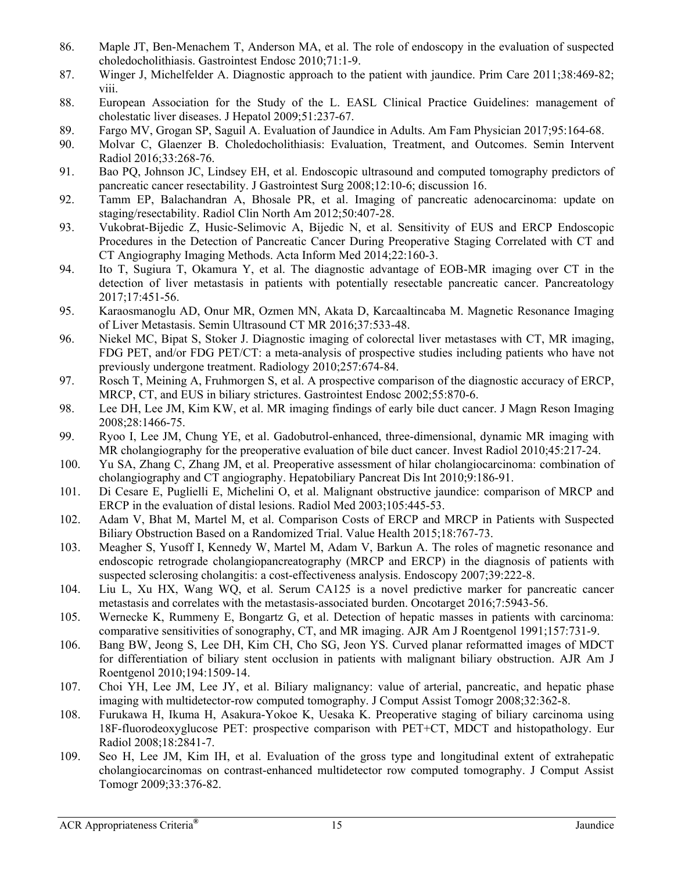- 86. Maple JT, Ben-Menachem T, Anderson MA, et al. The role of endoscopy in the evaluation of suspected choledocholithiasis. Gastrointest Endosc 2010;71:1-9.
- 87. Winger J, Michelfelder A. Diagnostic approach to the patient with jaundice. Prim Care 2011;38:469-82; viii.
- 88. European Association for the Study of the L. EASL Clinical Practice Guidelines: management of cholestatic liver diseases. J Hepatol 2009;51:237-67.
- 89. Fargo MV, Grogan SP, Saguil A. Evaluation of Jaundice in Adults. Am Fam Physician 2017;95:164-68.
- 90. Molvar C, Glaenzer B. Choledocholithiasis: Evaluation, Treatment, and Outcomes. Semin Intervent Radiol 2016;33:268-76.
- 91. Bao PQ, Johnson JC, Lindsey EH, et al. Endoscopic ultrasound and computed tomography predictors of pancreatic cancer resectability. J Gastrointest Surg 2008;12:10-6; discussion 16.
- 92. Tamm EP, Balachandran A, Bhosale PR, et al. Imaging of pancreatic adenocarcinoma: update on staging/resectability. Radiol Clin North Am 2012;50:407-28.
- 93. Vukobrat-Bijedic Z, Husic-Selimovic A, Bijedic N, et al. Sensitivity of EUS and ERCP Endoscopic Procedures in the Detection of Pancreatic Cancer During Preoperative Staging Correlated with CT and CT Angiography Imaging Methods. Acta Inform Med 2014;22:160-3.
- 94. Ito T, Sugiura T, Okamura Y, et al. The diagnostic advantage of EOB-MR imaging over CT in the detection of liver metastasis in patients with potentially resectable pancreatic cancer. Pancreatology 2017;17:451-56.
- 95. Karaosmanoglu AD, Onur MR, Ozmen MN, Akata D, Karcaaltincaba M. Magnetic Resonance Imaging of Liver Metastasis. Semin Ultrasound CT MR 2016;37:533-48.
- 96. Niekel MC, Bipat S, Stoker J. Diagnostic imaging of colorectal liver metastases with CT, MR imaging, FDG PET, and/or FDG PET/CT: a meta-analysis of prospective studies including patients who have not previously undergone treatment. Radiology 2010;257:674-84.
- 97. Rosch T, Meining A, Fruhmorgen S, et al. A prospective comparison of the diagnostic accuracy of ERCP, MRCP, CT, and EUS in biliary strictures. Gastrointest Endosc 2002;55:870-6.
- 98. Lee DH, Lee JM, Kim KW, et al. MR imaging findings of early bile duct cancer. J Magn Reson Imaging 2008;28:1466-75.
- 99. Ryoo I, Lee JM, Chung YE, et al. Gadobutrol-enhanced, three-dimensional, dynamic MR imaging with MR cholangiography for the preoperative evaluation of bile duct cancer. Invest Radiol 2010;45:217-24.
- 100. Yu SA, Zhang C, Zhang JM, et al. Preoperative assessment of hilar cholangiocarcinoma: combination of cholangiography and CT angiography. Hepatobiliary Pancreat Dis Int 2010;9:186-91.
- 101. Di Cesare E, Puglielli E, Michelini O, et al. Malignant obstructive jaundice: comparison of MRCP and ERCP in the evaluation of distal lesions. Radiol Med 2003;105:445-53.
- 102. Adam V, Bhat M, Martel M, et al. Comparison Costs of ERCP and MRCP in Patients with Suspected Biliary Obstruction Based on a Randomized Trial. Value Health 2015;18:767-73.
- 103. Meagher S, Yusoff I, Kennedy W, Martel M, Adam V, Barkun A. The roles of magnetic resonance and endoscopic retrograde cholangiopancreatography (MRCP and ERCP) in the diagnosis of patients with suspected sclerosing cholangitis: a cost-effectiveness analysis. Endoscopy 2007;39:222-8.
- 104. Liu L, Xu HX, Wang WQ, et al. Serum CA125 is a novel predictive marker for pancreatic cancer metastasis and correlates with the metastasis-associated burden. Oncotarget 2016;7:5943-56.
- 105. Wernecke K, Rummeny E, Bongartz G, et al. Detection of hepatic masses in patients with carcinoma: comparative sensitivities of sonography, CT, and MR imaging. AJR Am J Roentgenol 1991;157:731-9.
- 106. Bang BW, Jeong S, Lee DH, Kim CH, Cho SG, Jeon YS. Curved planar reformatted images of MDCT for differentiation of biliary stent occlusion in patients with malignant biliary obstruction. AJR Am J Roentgenol 2010;194:1509-14.
- 107. Choi YH, Lee JM, Lee JY, et al. Biliary malignancy: value of arterial, pancreatic, and hepatic phase imaging with multidetector-row computed tomography. J Comput Assist Tomogr 2008;32:362-8.
- 108. Furukawa H, Ikuma H, Asakura-Yokoe K, Uesaka K. Preoperative staging of biliary carcinoma using 18F-fluorodeoxyglucose PET: prospective comparison with PET+CT, MDCT and histopathology. Eur Radiol 2008;18:2841-7.
- 109. Seo H, Lee JM, Kim IH, et al. Evaluation of the gross type and longitudinal extent of extrahepatic cholangiocarcinomas on contrast-enhanced multidetector row computed tomography. J Comput Assist Tomogr 2009;33:376-82.